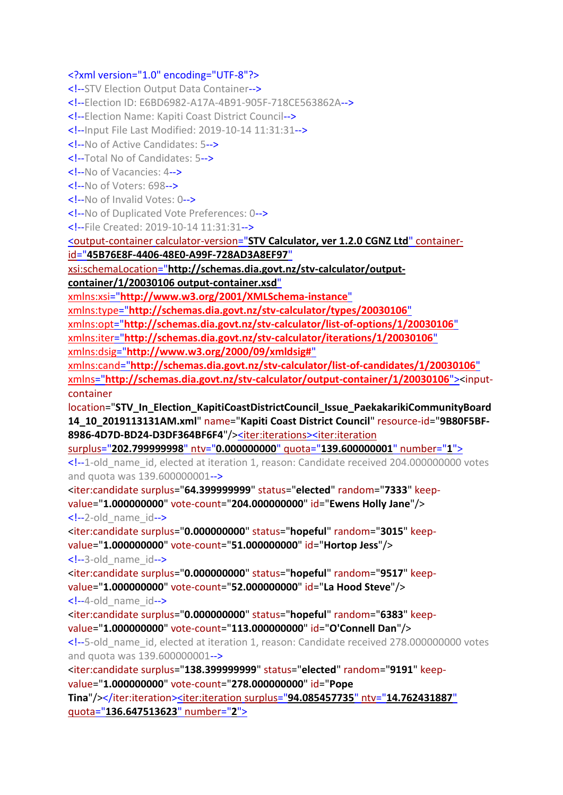## <?xml version="1.0" encoding="UTF-8"?>

<!--STV Election Output Data Container--> <!--Election ID: E6BD6982-A17A-4B91-905F-718CE563862A--> <!--Election Name: Kapiti Coast District Council--> <!--Input File Last Modified: 2019-10-14 11:31:31--> <!--No of Active Candidates: 5--> <!--Total No of Candidates: 5--> <!--No of Vacancies: 4--> <!--No of Voters: 698--> <!--No of Invalid Votes: 0--> <!--No of Duplicated Vote Preferences: 0--> <!--File Created: 2019-10-14 11:31:31--> soutput-container calculator-version="**[STV Calculator, ver 1.2.0 CGNZ Ltd](file:///C:/Program%20Files%20(x86)/STVCalculator/STVR/STV_Result_Election_KapitiCoastDistrictCouncil_Issue_PaekakarikiCommunityBoard14_10_2019113131AM_N.xml)**" containerid="**[45B76E8F-4406-48E0-A99F-728AD3A8EF97](file:///C:/Program%20Files%20(x86)/STVCalculator/STVR/STV_Result_Election_KapitiCoastDistrictCouncil_Issue_PaekakarikiCommunityBoard14_10_2019113131AM_N.xml)**" xsi:schemaLocation="**[http://schemas.dia.govt.nz/stv-calculator/output](file:///C:/Program%20Files%20(x86)/STVCalculator/STVR/STV_Result_Election_KapitiCoastDistrictCouncil_Issue_PaekakarikiCommunityBoard14_10_2019113131AM_N.xml)[container/1/20030106 output-container.xsd](file:///C:/Program%20Files%20(x86)/STVCalculator/STVR/STV_Result_Election_KapitiCoastDistrictCouncil_Issue_PaekakarikiCommunityBoard14_10_2019113131AM_N.xml)**" xmlns:xsi="**[http://www.w3.org/2001/XMLSchema-instance](file:///C:/Program%20Files%20(x86)/STVCalculator/STVR/STV_Result_Election_KapitiCoastDistrictCouncil_Issue_PaekakarikiCommunityBoard14_10_2019113131AM_N.xml)**" xmlns:type="**[http://schemas.dia.govt.nz/stv-calculator/types/20030106](file:///C:/Program%20Files%20(x86)/STVCalculator/STVR/STV_Result_Election_KapitiCoastDistrictCouncil_Issue_PaekakarikiCommunityBoard14_10_2019113131AM_N.xml)**" xmlns:opt="**[http://schemas.dia.govt.nz/stv-calculator/list-of-options/1/20030106](file:///C:/Program%20Files%20(x86)/STVCalculator/STVR/STV_Result_Election_KapitiCoastDistrictCouncil_Issue_PaekakarikiCommunityBoard14_10_2019113131AM_N.xml)**" xmlns:iter="**[http://schemas.dia.govt.nz/stv-calculator/iterations/1/20030106](file:///C:/Program%20Files%20(x86)/STVCalculator/STVR/STV_Result_Election_KapitiCoastDistrictCouncil_Issue_PaekakarikiCommunityBoard14_10_2019113131AM_N.xml)**" xmlns:dsig="**[http://www.w3.org/2000/09/xmldsig#](file:///C:/Program%20Files%20(x86)/STVCalculator/STVR/STV_Result_Election_KapitiCoastDistrictCouncil_Issue_PaekakarikiCommunityBoard14_10_2019113131AM_N.xml)**" xmlns:cand="**[http://schemas.dia.govt.nz/stv-calculator/list-of-candidates/1/20030106](file:///C:/Program%20Files%20(x86)/STVCalculator/STVR/STV_Result_Election_KapitiCoastDistrictCouncil_Issue_PaekakarikiCommunityBoard14_10_2019113131AM_N.xml)**" xmlns="**[http://schemas.dia.govt.nz/stv-calculator/output-container/1/20030106](file:///C:/Program%20Files%20(x86)/STVCalculator/STVR/STV_Result_Election_KapitiCoastDistrictCouncil_Issue_PaekakarikiCommunityBoard14_10_2019113131AM_N.xml)**"><inputcontainer location="**STV\_In\_Election\_KapitiCoastDistrictCouncil\_Issue\_PaekakarikiCommunityBoard 14\_10\_2019113131AM.xml**" name="**Kapiti Coast District Council**" resource-id="**9B80F5BF-8986-4D7D-BD24-D3DF364BF6F4**"/[><iter:iterations><iter:iteration](file:///C:/Program%20Files%20(x86)/STVCalculator/STVR/STV_Result_Election_KapitiCoastDistrictCouncil_Issue_PaekakarikiCommunityBoard14_10_2019113131AM_N.xml) surplus="**[202.799999998](file:///C:/Program%20Files%20(x86)/STVCalculator/STVR/STV_Result_Election_KapitiCoastDistrictCouncil_Issue_PaekakarikiCommunityBoard14_10_2019113131AM_N.xml)**" ntv="**0.000000000**" quota="**139.600000001**" number="**1**"> <!--1-old\_name\_id, elected at iteration 1, reason: Candidate received 204.000000000 votes and quota was 139.600000001--> <iter:candidate surplus="**64.399999999**" status="**elected**" random="**7333**" keepvalue="**1.000000000**" vote-count="**204.000000000**" id="**Ewens Holly Jane**"/> <!--2-old\_name\_id--> <iter:candidate surplus="**0.000000000**" status="**hopeful**" random="**3015**" keepvalue="**1.000000000**" vote-count="**51.000000000**" id="**Hortop Jess**"/> <!--3-old\_name\_id--> <iter:candidate surplus="**0.000000000**" status="**hopeful**" random="**9517**" keepvalue="**1.000000000**" vote-count="**52.000000000**" id="**La Hood Steve**"/> <!--4-old\_name\_id--> <iter:candidate surplus="**0.000000000**" status="**hopeful**" random="**6383**" keepvalue="**1.000000000**" vote-count="**113.000000000**" id="**O'Connell Dan**"/> <!--5-old\_name\_id, elected at iteration 1, reason: Candidate received 278.000000000 votes and quota was 139.600000001--> <iter:candidate surplus="**138.399999999**" status="**elected**" random="**9191**" keepvalue="**1.000000000**" vote-count="**278.000000000**" id="**Pope Tina**"/></iter:iteration[><iter:iteration](file:///C:/Program%20Files%20(x86)/STVCalculator/STVR/STV_Result_Election_KapitiCoastDistrictCouncil_Issue_PaekakarikiCommunityBoard14_10_2019113131AM_N.xml) surplus="**94.085457735**" ntv="**14.762431887**" quota="**[136.647513623](file:///C:/Program%20Files%20(x86)/STVCalculator/STVR/STV_Result_Election_KapitiCoastDistrictCouncil_Issue_PaekakarikiCommunityBoard14_10_2019113131AM_N.xml)**" number="**2**">